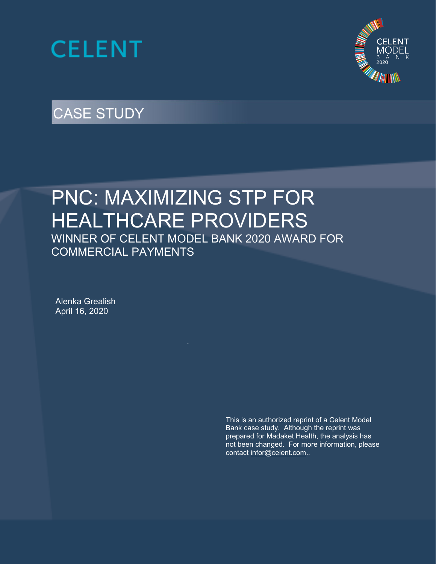



# CASE STUDY

# PNC: MAXIMIZING STP FOR HEALTHCARE PROVIDERS WINNER OF CELENT MODEL BANK 2020 AWARD FOR COMMERCIAL PAYMENTS

Alenka Grealish April 16, 2020

> This is an authorized reprint of a Celent Model Bank case study. Although the reprint was prepared for Madaket Health, the analysis has not been changed. For more information, please contact [infor@celent.com.](mailto:infor@celent.com).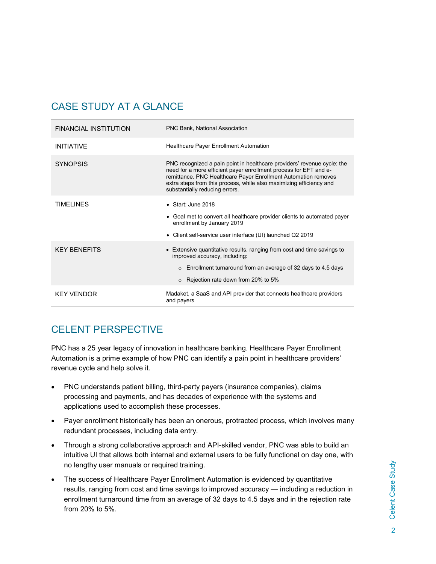## CASE STUDY AT A GLANCE

| <b>FINANCIAL INSTITUTION</b> | <b>PNC Bank, National Association</b>                                                                                                                                                                                                                                                                                   |
|------------------------------|-------------------------------------------------------------------------------------------------------------------------------------------------------------------------------------------------------------------------------------------------------------------------------------------------------------------------|
| <b>INITIATIVE</b>            | <b>Healthcare Payer Enrollment Automation</b>                                                                                                                                                                                                                                                                           |
| <b>SYNOPSIS</b>              | PNC recognized a pain point in healthcare providers' revenue cycle: the<br>need for a more efficient payer enrollment process for EFT and e-<br>remittance. PNC Healthcare Payer Enrollment Automation removes<br>extra steps from this process, while also maximizing efficiency and<br>substantially reducing errors. |
| TIMFI INFS                   | $\bullet$ Start: June 2018<br>• Goal met to convert all healthcare provider clients to automated payer<br>enrollment by January 2019<br>• Client self-service user interface (UI) launched Q2 2019                                                                                                                      |
| <b>KFY BENEFITS</b>          | • Extensive quantitative results, ranging from cost and time savings to<br>improved accuracy, including:<br>$\circ$ Enrollment turnaround from an average of 32 days to 4.5 days<br>$\circ$ Rejection rate down from 20% to 5%                                                                                          |
| <b>KEY VENDOR</b>            | Madaket, a SaaS and API provider that connects healthcare providers<br>and payers                                                                                                                                                                                                                                       |

## CELENT PERSPECTIVE

PNC has a 25 year legacy of innovation in healthcare banking. Healthcare Payer Enrollment Automation is a prime example of how PNC can identify a pain point in healthcare providers' revenue cycle and help solve it.

- PNC understands patient billing, third-party payers (insurance companies), claims processing and payments, and has decades of experience with the systems and applications used to accomplish these processes.
- Payer enrollment historically has been an onerous, protracted process, which involves many redundant processes, including data entry.
- Through a strong collaborative approach and API-skilled vendor, PNC was able to build an intuitive UI that allows both internal and external users to be fully functional on day one, with no lengthy user manuals or required training.
- The success of Healthcare Payer Enrollment Automation is evidenced by quantitative results, ranging from cost and time savings to improved accuracy — including a reduction in enrollment turnaround time from an average of 32 days to 4.5 days and in the rejection rate from 20% to 5%.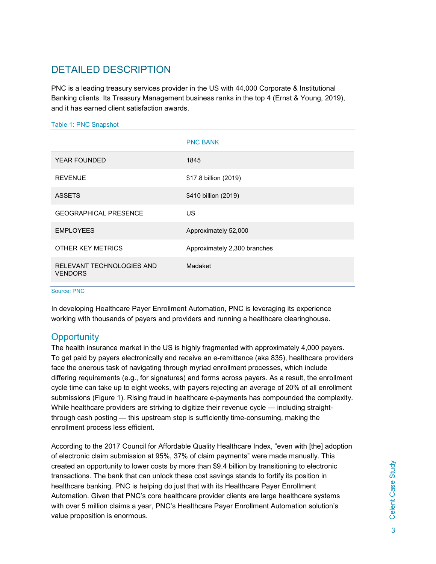### DETAILED DESCRIPTION

PNC is a leading treasury services provider in the US with 44,000 Corporate & Institutional Banking clients. Its Treasury Management business ranks in the top 4 (Ernst & Young, 2019), and it has earned client satisfaction awards.

#### Table 1: PNC Snapshot

|                                             | <b>PNC BANK</b>              |
|---------------------------------------------|------------------------------|
| <b>YEAR FOUNDED</b>                         | 1845                         |
| <b>REVENUE</b>                              | \$17.8 billion (2019)        |
| <b>ASSETS</b>                               | \$410 billion (2019)         |
| <b>GEOGRAPHICAL PRESENCE</b>                | US                           |
| <b>EMPLOYEES</b>                            | Approximately 52,000         |
| OTHER KEY METRICS                           | Approximately 2,300 branches |
| RELEVANT TECHNOLOGIES AND<br><b>VENDORS</b> | Madaket                      |

Source: PNC

In developing Healthcare Payer Enrollment Automation, PNC is leveraging its experience working with thousands of payers and providers and running a healthcare clearinghouse.

### **Opportunity**

The health insurance market in the US is highly fragmented with approximately 4,000 payers. To get paid by payers electronically and receive an e-remittance (aka 835), healthcare providers face the onerous task of navigating through myriad enrollment processes, which include differing requirements (e.g., for signatures) and forms across payers. As a result, the enrollment cycle time can take up to eight weeks, with payers rejecting an average of 20% of all enrollment submissions [\(Figure 1\)](#page-3-0). Rising fraud in healthcare e-payments has compounded the complexity. While healthcare providers are striving to digitize their revenue cycle — including straightthrough cash posting — this upstream step is sufficiently time-consuming, making the enrollment process less efficient.

According to the 2017 Council for Affordable Quality Healthcare Index, "even with [the] adoption of electronic claim submission at 95%, 37% of claim payments" were made manually. This created an opportunity to lower costs by more than \$9.4 billion by transitioning to electronic transactions. The bank that can unlock these cost savings stands to fortify its position in healthcare banking. PNC is helping do just that with its Healthcare Payer Enrollment Automation. Given that PNC's core healthcare provider clients are large healthcare systems with over 5 million claims a year, PNC's Healthcare Payer Enrollment Automation solution's value proposition is enormous.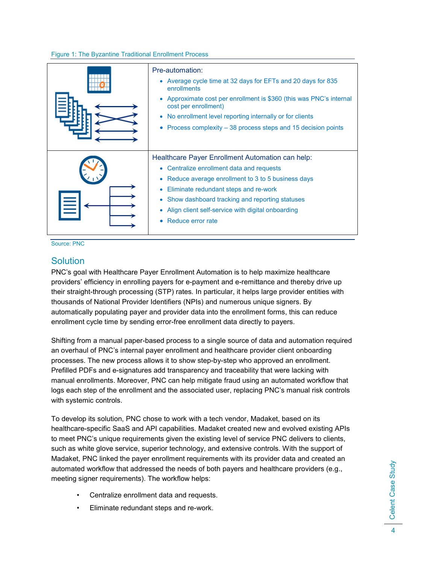#### <span id="page-3-0"></span>Figure 1: The Byzantine Traditional Enrollment Process

| Pre-automation:<br>Average cycle time at 32 days for EFTs and 20 days for 835<br>$\bullet$<br>enrollments<br>Approximate cost per enrollment is \$360 (this was PNC's internal<br>$\bullet$<br>cost per enrollment)<br>No enrollment level reporting internally or for clients<br>$\bullet$<br>Process complexity - 38 process steps and 15 decision points<br>$\bullet$       |
|--------------------------------------------------------------------------------------------------------------------------------------------------------------------------------------------------------------------------------------------------------------------------------------------------------------------------------------------------------------------------------|
| Healthcare Payer Enrollment Automation can help:<br>Centralize enrollment data and requests<br>$\bullet$<br>Reduce average enrollment to 3 to 5 business days<br>$\bullet$<br>Eliminate redundant steps and re-work<br>$\bullet$<br>Show dashboard tracking and reporting statuses<br>$\bullet$<br>Align client self-service with digital onboarding<br>Reduce error rate<br>۰ |

Source: PNC

#### **Solution**

PNC's goal with Healthcare Payer Enrollment Automation is to help maximize healthcare providers' efficiency in enrolling payers for e-payment and e-remittance and thereby drive up their straight-through processing (STP) rates*.* In particular, it helps large provider entities with thousands of National Provider Identifiers (NPIs) and numerous unique signers. By automatically populating payer and provider data into the enrollment forms, this can reduce enrollment cycle time by sending error-free enrollment data directly to payers.

Shifting from a manual paper-based process to a single source of data and automation required an overhaul of PNC's internal payer enrollment and healthcare provider client onboarding processes. The new process allows it to show step-by-step who approved an enrollment. Prefilled PDFs and e-signatures add transparency and traceability that were lacking with manual enrollments. Moreover, PNC can help mitigate fraud using an automated workflow that logs each step of the enrollment and the associated user, replacing PNC's manual risk controls with systemic controls.

To develop its solution, PNC chose to work with a tech vendor, Madaket, based on its healthcare-specific SaaS and API capabilities. Madaket created new and evolved existing APIs to meet PNC's unique requirements given the existing level of service PNC delivers to clients, such as white glove service, superior technology, and extensive controls. With the support of Madaket, PNC linked the payer enrollment requirements with its provider data and created an automated workflow that addressed the needs of both payers and healthcare providers (e.g., meeting signer requirements). The workflow helps:

- Centralize enrollment data and requests.
- Eliminate redundant steps and re-work.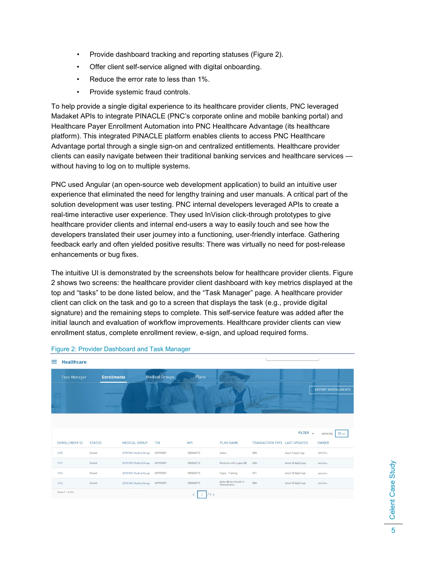- Provide dashboard tracking and reporting statuses [\(Figure 2\)](#page-4-0).
- Offer client self-service aligned with digital onboarding.
- Reduce the error rate to less than 1%.
- Provide systemic fraud controls.

To help provide a single digital experience to its healthcare provider clients, PNC leveraged Madaket APIs to integrate PINACLE (PNC's corporate online and mobile banking portal) and Healthcare Payer Enrollment Automation into PNC Healthcare Advantage (its healthcare platform). This integrated PINACLE platform enables clients to access PNC Healthcare Advantage portal through a single sign-on and centralized entitlements. Healthcare provider clients can easily navigate between their traditional banking services and healthcare services without having to log on to multiple systems.

PNC used Angular (an open-source web development application) to build an intuitive user experience that eliminated the need for lengthy training and user manuals. A critical part of the solution development was user testing. PNC internal developers leveraged APIs to create a real-time interactive user experience. They used InVision click-through prototypes to give healthcare provider clients and internal end-users a way to easily touch and see how the developers translated their user journey into a functioning, user-friendly interface. Gathering feedback early and often yielded positive results: There was virtually no need for post-release enhancements or bug fixes.

The intuitive UI is demonstrated by the screenshots below for healthcare provider clients. [Figure](#page-4-0)  [2](#page-4-0) shows two screens: the healthcare provider client dashboard with key metrics displayed at the top and "tasks" to be done listed below, and the "Task Manager" page. A healthcare provider client can click on the task and go to a screen that displays the task (e.g., provide digital signature) and the remaining steps to complete. This self-service feature was added after the initial launch and evaluation of workflow improvements. Healthcare provider clients can view enrollment status, complete enrollment review, e-sign, and upload required forms.

| <b>Healthcare</b><br>$\equiv$ |                    |                        |                       |                 |                                        |                               |                     |                               |
|-------------------------------|--------------------|------------------------|-----------------------|-----------------|----------------------------------------|-------------------------------|---------------------|-------------------------------|
| <b>Task Manager</b>           | <b>Enrollments</b> |                        | <b>Medical Groups</b> | Plans           |                                        |                               |                     |                               |
|                               |                    |                        |                       |                 |                                        |                               |                     | <b>EXPORT ENROLLMENTS</b>     |
| <b>ENROLLMENT ID</b>          | <b>STATUS</b>      | <b>MEDICAL GROUP</b>   | <b>TIN</b>            | <b>NPI</b>      | <b>PLAN NAME</b>                       | TRANSACTION TYPE LAST UPDATED | FILTER $\sqrt{}$    | $25 \vee$<br>SHOW ME<br>OWNER |
| 2183                          | Closed             | 0078 PNC Medical Group | 609709809             | 1083868772      | Aetna                                  | ERA                           | about 9 day(s) ago  | John Doe                      |
| 1917                          | Closed             | 0078 PNC Medical Group | 609709809             | 1083868772      | Medicare with Legacy ID                | ERA                           | about 30 day(s) ago | John Doe                      |
| 1916                          | Closed             | 0078 PNC Medical Group | 609709809             | 1083868772      | Cigna - Training                       | EFT                           | about 30 day(s) ago | John Doe                      |
| 1915                          | Closed             | 0078 PNC Medical Group | 609709809             | 1083868772      | Aetna Better Health of<br>Pennsylvania | ERA                           | about 30 day(s) ago | John Doe                      |
| Items $1 - 4$ of $4$          |                    |                        |                       | 11 <sup>5</sup> |                                        |                               |                     |                               |

#### <span id="page-4-0"></span>Figure 2: Provider Dashboard and Task Manager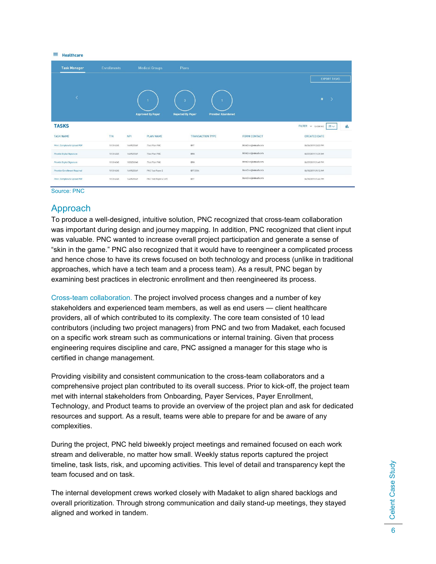| ≡<br><b>Healthcare</b>              |                    |                                     |                                                                                  |                     |                                            |
|-------------------------------------|--------------------|-------------------------------------|----------------------------------------------------------------------------------|---------------------|--------------------------------------------|
| <b>Task Manager</b>                 | <b>Enrollments</b> | <b>Medical Groups</b>               | Plans                                                                            |                     |                                            |
|                                     |                    |                                     |                                                                                  |                     | <b>EXPORT TASKS</b>                        |
| K                                   |                    | <b>Approved By Payer</b>            | $\overline{\mathbf{3}}$<br><b>Rejected By Payer</b><br><b>Provider Abandoned</b> |                     | $\mathbf{u}$                               |
| <b>TASKS</b>                        |                    |                                     |                                                                                  |                     | $FILTER \times$ SHOW ME<br>$25 \vee$<br>d. |
| <b>TASK NAME</b>                    | TIN                | <b>NPI</b><br><b>PLAN NAME</b>      | <b>TRANSACTION TYPE</b>                                                          | <b>FORM CONTACT</b> | <b>CREATED DATE</b>                        |
| Print, Complete & Upload PDF        | 101314245          | 1649525569<br>:Test Plan PNC        | EFT                                                                              | JohnDoe@email.com   | 06/06/2019 02:03 PM                        |
| Provide Digital Signature           | 101314245          | 1649525569<br>ITest Plan PNC        | ERA                                                                              | JohnDoe@email.com   | 06/07/2019 11:39 AM                        |
| Provide Digital Signature           | 101314245          | 1033256540<br>!Test Plan PNC        | ERA                                                                              | JohnDoe@email.com   | 06/07/2019 01:49 PM                        |
| <b>Provider Enrollment Required</b> | 101314245          | 1649525569<br>PNC Test Payer 2      | EFT/ERA                                                                          | JaneDoe@email.com   | 06/10/2019 09:12 AM                        |
| Print, Complete & Upload PDF        | 101314245          | 1649525569<br>PNC Test Payer 4 (UP) | EFT                                                                              | JaneDoe@email.com   | 06/10/2019 01:46 PM                        |

Source: PNC

### Approach

To produce a well-designed, intuitive solution, PNC recognized that cross-team collaboration was important during design and journey mapping. In addition, PNC recognized that client input was valuable. PNC wanted to increase overall project participation and generate a sense of "skin in the game." PNC also recognized that it would have to reengineer a complicated process and hence chose to have its crews focused on both technology and process (unlike in traditional approaches, which have a tech team and a process team). As a result, PNC began by examining best practices in electronic enrollment and then reengineered its process.

Cross-team collaboration. The project involved process changes and a number of key stakeholders and experienced team members, as well as end users — client healthcare providers, all of which contributed to its complexity. The core team consisted of 10 lead contributors (including two project managers) from PNC and two from Madaket, each focused on a specific work stream such as communications or internal training. Given that process engineering requires discipline and care, PNC assigned a manager for this stage who is certified in change management.

Providing visibility and consistent communication to the cross-team collaborators and a comprehensive project plan contributed to its overall success. Prior to kick-off, the project team met with internal stakeholders from Onboarding, Payer Services, Payer Enrollment, Technology, and Product teams to provide an overview of the project plan and ask for dedicated resources and support. As a result, teams were able to prepare for and be aware of any complexities.

During the project, PNC held biweekly project meetings and remained focused on each work stream and deliverable, no matter how small. Weekly status reports captured the project timeline, task lists, risk, and upcoming activities. This level of detail and transparency kept the team focused and on task.

The internal development crews worked closely with Madaket to align shared backlogs and overall prioritization. Through strong communication and daily stand-up meetings, they stayed aligned and worked in tandem.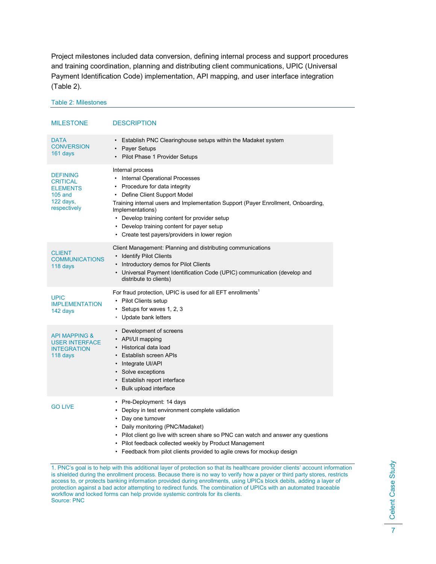Project milestones included data conversion, defining internal process and support procedures and training coordination, planning and distributing client communications, UPIC (Universal Payment Identification Code) implementation, API mapping, and user interface integration [\(Table 2\)](#page-6-0).

<span id="page-6-0"></span>Table 2: Milestones

MILESTONE DESCRIPTION DATA **CONVERSION** 161 days • Establish PNC Clearinghouse setups within the Madaket system • Payer Setups • Pilot Phase 1 Provider Setups DEFINING **CRITICAL ELEMENTS** 105 and 122 days, respectively Internal process • Internal Operational Processes • Procedure for data integrity • Define Client Support Model Training internal users and Implementation Support (Payer Enrollment, Onboarding, Implementations) • Develop training content for provider setup • Develop training content for payer setup • Create test payers/providers in lower region CLIENT **COMMUNICATIONS** 118 days Client Management: Planning and distributing communications • Identify Pilot Clients • Introductory demos for Pilot Clients • Universal Payment Identification Code (UPIC) communication (develop and distribute to clients) UPIC IMPLEMENTATION 142 days For fraud protection, UPIC is used for all EFT enrollments<sup>1</sup> • Pilot Clients setup • Setups for waves 1, 2, 3 • Update bank letters API MAPPING & USER INTERFACE **INTEGRATION** 118 days • Development of screens • API/UI mapping • Historical data load • Establish screen APIs • Integrate UI/API • Solve exceptions • Establish report interface • Bulk upload interface GO LIVE • Pre-Deployment: 14 days • Deploy in test environment complete validation • Day one turnover • Daily monitoring (PNC/Madaket) • Pilot client go live with screen share so PNC can watch and answer any questions • Pilot feedback collected weekly by Product Management

• Feedback from pilot clients provided to agile crews for mockup design

1. PNC's goal is to help with this additional layer of protection so that its healthcare provider clients' account information is shielded during the enrollment process. Because there is no way to verify how a payer or third party stores, restricts access to, or protects banking information provided during enrollments, using UPICs block debits, adding a layer of protection against a bad actor attempting to redirect funds. The combination of UPICs with an automated traceable workflow and locked forms can help provide systemic controls for its clients. Source: PNC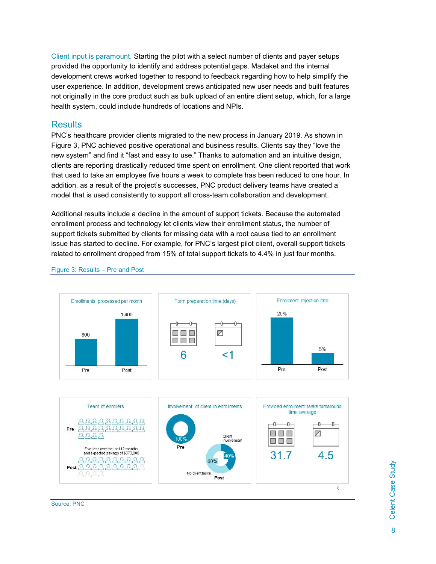Client input is paramount. Starting the pilot with a select number of clients and payer setups provided the opportunity to identify and address potential gaps. Madaket and the internal development crews worked together to respond to feedback regarding how to help simplify the user experience. In addition, development crews anticipated new user needs and built features not originally in the core product such as bulk upload of an entire client setup, which, for a large health system, could include hundreds of locations and NPIs.

### **Results**

PNC's healthcare provider clients migrated to the new process in January 2019. As shown in Figure 3, PNC achieved positive operational and business results. Clients say they "love the new system" and find it "fast and easy to use." Thanks to automation and an intuitive design, clients are reporting drastically reduced time spent on enrollment. One client reported that work that used to take an employee five hours a week to complete has been reduced to one hour. In addition, as a result of the project's successes, PNC product delivery teams have created a model that is used consistently to support all cross-team collaboration and development.

Additional results include a decline in the amount of support tickets. Because the automated enrollment process and technology let clients view their enrollment status, the number of support tickets submitted by clients for missing data with a root cause tied to an enrollment issue has started to decline. For example, for PNC's largest pilot client, overall support tickets related to enrollment dropped from 15% of total support tickets to 4.4% in just four months.



Figure 3: Results – Pre and Post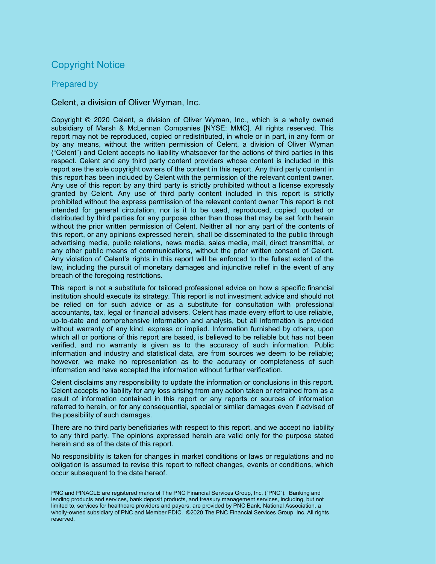### Copyright Notice

#### Prepared by

#### Celent, a division of Oliver Wyman, Inc.

Copyright © 2020 Celent, a division of Oliver Wyman, Inc., which is a wholly owned subsidiary of Marsh & McLennan Companies [NYSE: MMC]. All rights reserved. This report may not be reproduced, copied or redistributed, in whole or in part, in any form or by any means, without the written permission of Celent, a division of Oliver Wyman ("Celent") and Celent accepts no liability whatsoever for the actions of third parties in this respect. Celent and any third party content providers whose content is included in this report are the sole copyright owners of the content in this report. Any third party content in this report has been included by Celent with the permission of the relevant content owner. Any use of this report by any third party is strictly prohibited without a license expressly granted by Celent. Any use of third party content included in this report is strictly prohibited without the express permission of the relevant content owner This report is not intended for general circulation, nor is it to be used, reproduced, copied, quoted or distributed by third parties for any purpose other than those that may be set forth herein without the prior written permission of Celent. Neither all nor any part of the contents of this report, or any opinions expressed herein, shall be disseminated to the public through advertising media, public relations, news media, sales media, mail, direct transmittal, or any other public means of communications, without the prior written consent of Celent. Any violation of Celent's rights in this report will be enforced to the fullest extent of the law, including the pursuit of monetary damages and injunctive relief in the event of any breach of the foregoing restrictions.

This report is not a substitute for tailored professional advice on how a specific financial institution should execute its strategy. This report is not investment advice and should not be relied on for such advice or as a substitute for consultation with professional accountants, tax, legal or financial advisers. Celent has made every effort to use reliable, up-to-date and comprehensive information and analysis, but all information is provided without warranty of any kind, express or implied. Information furnished by others, upon which all or portions of this report are based, is believed to be reliable but has not been verified, and no warranty is given as to the accuracy of such information. Public information and industry and statistical data, are from sources we deem to be reliable; however, we make no representation as to the accuracy or completeness of such information and have accepted the information without further verification.

Celent disclaims any responsibility to update the information or conclusions in this report. Celent accepts no liability for any loss arising from any action taken or refrained from as a result of information contained in this report or any reports or sources of information referred to herein, or for any consequential, special or similar damages even if advised of the possibility of such damages.

There are no third party beneficiaries with respect to this report, and we accept no liability to any third party. The opinions expressed herein are valid only for the purpose stated herein and as of the date of this report.

No responsibility is taken for changes in market conditions or laws or regulations and no obligation is assumed to revise this report to reflect changes, events or conditions, which occur subsequent to the date hereof.

PNC and PINACLE are registered marks of The PNC Financial Services Group, Inc. ("PNC"). Banking and lending products and services, bank deposit products, and treasury management services, including, but not limited to, services for healthcare providers and payers, are provided by PNC Bank, National Association, a wholly-owned subsidiary of PNC and Member FDIC. ©2020 The PNC Financial Services Group, Inc. All rights reserved.